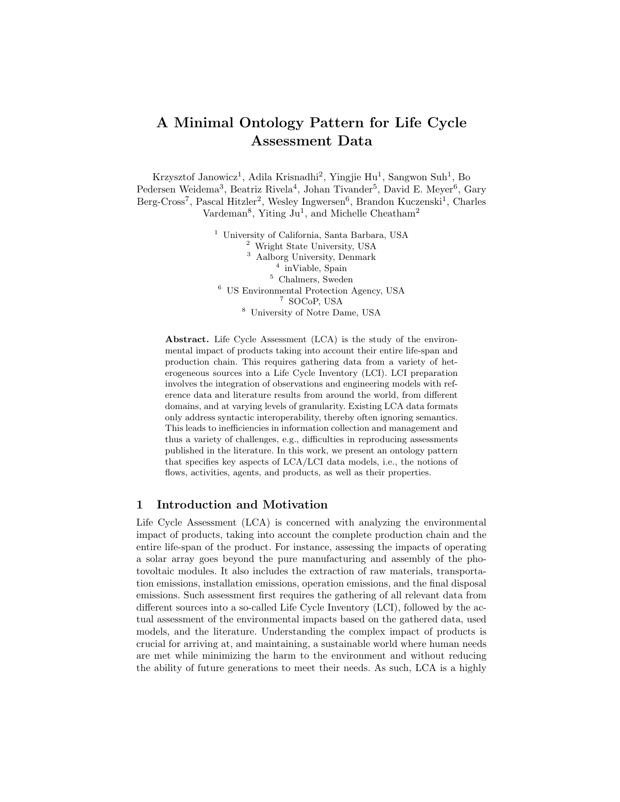# A Minimal Ontology Pattern for Life Cycle Assessment Data

Krzysztof Janowicz<sup>1</sup>, Adila Krisnadhi<sup>2</sup>, Yingjie Hu<sup>1</sup>, Sangwon Suh<sup>1</sup>, Bo Pedersen Weidema<sup>3</sup>, Beatriz Rivela<sup>4</sup>, Johan Tivander<sup>5</sup>, David E. Meyer<sup>6</sup>, Gary Berg-Cross<sup>7</sup>, Pascal Hitzler<sup>2</sup>, Wesley Ingwersen<sup>6</sup>, Brandon Kuczenski<sup>1</sup>, Charles Vardeman<sup>8</sup>, Yiting Ju<sup>1</sup>, and Michelle Cheatham<sup>2</sup>

> University of California, Santa Barbara, USA Wright State University, USA Aalborg University, Denmark <sup>4</sup> inViable, Spain Chalmers, Sweden US Environmental Protection Agency, USA SOCoP, USA University of Notre Dame, USA

Abstract. Life Cycle Assessment (LCA) is the study of the environmental impact of products taking into account their entire life-span and production chain. This requires gathering data from a variety of heterogeneous sources into a Life Cycle Inventory (LCI). LCI preparation involves the integration of observations and engineering models with reference data and literature results from around the world, from different domains, and at varying levels of granularity. Existing LCA data formats only address syntactic interoperability, thereby often ignoring semantics. This leads to inefficiencies in information collection and management and thus a variety of challenges, e.g., difficulties in reproducing assessments published in the literature. In this work, we present an ontology pattern that specifies key aspects of LCA/LCI data models, i.e., the notions of flows, activities, agents, and products, as well as their properties.

#### 1 Introduction and Motivation

Life Cycle Assessment (LCA) is concerned with analyzing the environmental impact of products, taking into account the complete production chain and the entire life-span of the product. For instance, assessing the impacts of operating a solar array goes beyond the pure manufacturing and assembly of the photovoltaic modules. It also includes the extraction of raw materials, transportation emissions, installation emissions, operation emissions, and the final disposal emissions. Such assessment first requires the gathering of all relevant data from different sources into a so-called Life Cycle Inventory (LCI), followed by the actual assessment of the environmental impacts based on the gathered data, used models, and the literature. Understanding the complex impact of products is crucial for arriving at, and maintaining, a sustainable world where human needs are met while minimizing the harm to the environment and without reducing the ability of future generations to meet their needs. As such, LCA is a highly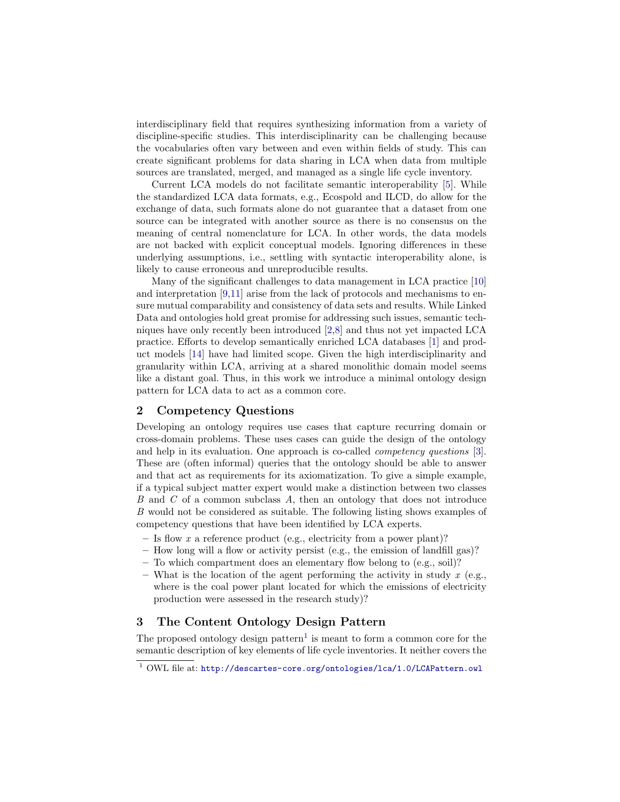interdisciplinary field that requires synthesizing information from a variety of discipline-specific studies. This interdisciplinarity can be challenging because the vocabularies often vary between and even within fields of study. This can create significant problems for data sharing in LCA when data from multiple sources are translated, merged, and managed as a single life cycle inventory.

Current LCA models do not facilitate semantic interoperability [\[5\]](#page-4-0). While the standardized LCA data formats, e.g., Ecospold and ILCD, do allow for the exchange of data, such formats alone do not guarantee that a dataset from one source can be integrated with another source as there is no consensus on the meaning of central nomenclature for LCA. In other words, the data models are not backed with explicit conceptual models. Ignoring differences in these underlying assumptions, i.e., settling with syntactic interoperability alone, is likely to cause erroneous and unreproducible results.

Many of the significant challenges to data management in LCA practice [\[10\]](#page-4-1) and interpretation [\[9,](#page-4-2)[11\]](#page-4-3) arise from the lack of protocols and mechanisms to ensure mutual comparability and consistency of data sets and results. While Linked Data and ontologies hold great promise for addressing such issues, semantic techniques have only recently been introduced [\[2,](#page-4-4)[8\]](#page-4-5) and thus not yet impacted LCA practice. Efforts to develop semantically enriched LCA databases [\[1\]](#page-4-6) and product models [\[14\]](#page-4-7) have had limited scope. Given the high interdisciplinarity and granularity within LCA, arriving at a shared monolithic domain model seems like a distant goal. Thus, in this work we introduce a minimal ontology design pattern for LCA data to act as a common core.

## 2 Competency Questions

Developing an ontology requires use cases that capture recurring domain or cross-domain problems. These uses cases can guide the design of the ontology and help in its evaluation. One approach is co-called competency questions [\[3\]](#page-4-8). These are (often informal) queries that the ontology should be able to answer and that act as requirements for its axiomatization. To give a simple example, if a typical subject matter expert would make a distinction between two classes B and C of a common subclass A, then an ontology that does not introduce B would not be considered as suitable. The following listing shows examples of competency questions that have been identified by LCA experts.

- Is flow x a reference product (e.g., electricity from a power plant)?
- $-$  How long will a flow or activity persist (e.g., the emission of landfill gas)?
- To which compartment does an elementary flow belong to (e.g., soil)?
- What is the location of the agent performing the activity in study x (e.g., where is the coal power plant located for which the emissions of electricity production were assessed in the research study)?

# 3 The Content Ontology Design Pattern

The proposed ontology design pattern<sup>[1](#page-1-0)</sup> is meant to form a common core for the semantic description of key elements of life cycle inventories. It neither covers the

<span id="page-1-0"></span><sup>1</sup> OWL file at: <http://descartes-core.org/ontologies/lca/1.0/LCAPattern.owl>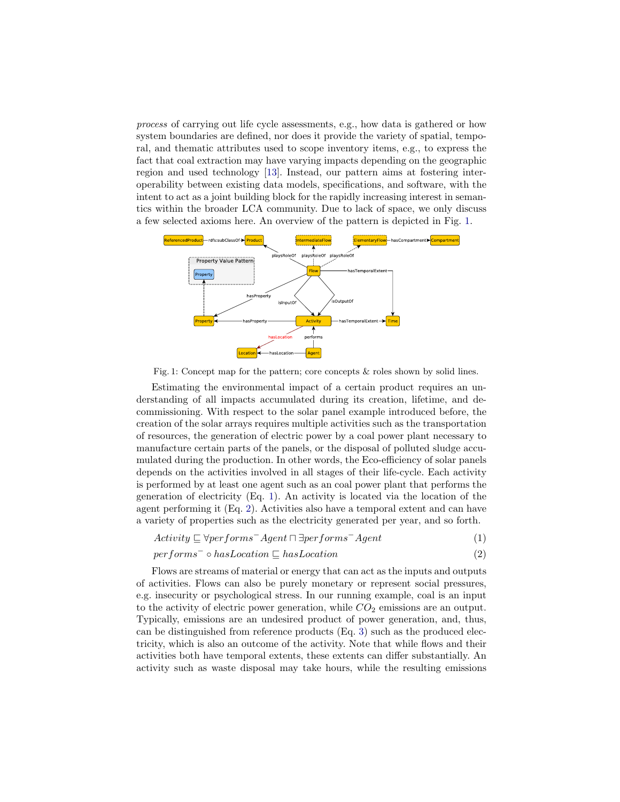process of carrying out life cycle assessments, e.g., how data is gathered or how system boundaries are defined, nor does it provide the variety of spatial, temporal, and thematic attributes used to scope inventory items, e.g., to express the fact that coal extraction may have varying impacts depending on the geographic region and used technology [\[13\]](#page-4-9). Instead, our pattern aims at fostering interoperability between existing data models, specifications, and software, with the intent to act as a joint building block for the rapidly increasing interest in semantics within the broader LCA community. Due to lack of space, we only discuss a few selected axioms here. An overview of the pattern is depicted in Fig. [1.](#page-2-0)

<span id="page-2-0"></span>

Fig. 1: Concept map for the pattern; core concepts & roles shown by solid lines.

Estimating the environmental impact of a certain product requires an understanding of all impacts accumulated during its creation, lifetime, and decommissioning. With respect to the solar panel example introduced before, the creation of the solar arrays requires multiple activities such as the transportation of resources, the generation of electric power by a coal power plant necessary to manufacture certain parts of the panels, or the disposal of polluted sludge accumulated during the production. In other words, the Eco-efficiency of solar panels depends on the activities involved in all stages of their life-cycle. Each activity is performed by at least one agent such as an coal power plant that performs the generation of electricity (Eq. [1\)](#page-2-1). An activity is located via the location of the agent performing it (Eq. [2\)](#page-2-2). Activities also have a temporal extent and can have a variety of properties such as the electricity generated per year, and so forth.

<span id="page-2-2"></span><span id="page-2-1"></span>
$$
Activity \sqsubseteq \forall performs^{-} Agent \sqcap \exists performs^{-} Agent \tag{1}
$$

#### $performs^- \circ hasLocation \sqsubset hasLocation$  (2)

Flows are streams of material or energy that can act as the inputs and outputs of activities. Flows can also be purely monetary or represent social pressures, e.g. insecurity or psychological stress. In our running example, coal is an input to the activity of electric power generation, while  $CO<sub>2</sub>$  emissions are an output. Typically, emissions are an undesired product of power generation, and, thus, can be distinguished from reference products (Eq. [3\)](#page-3-0) such as the produced electricity, which is also an outcome of the activity. Note that while flows and their activities both have temporal extents, these extents can differ substantially. An activity such as waste disposal may take hours, while the resulting emissions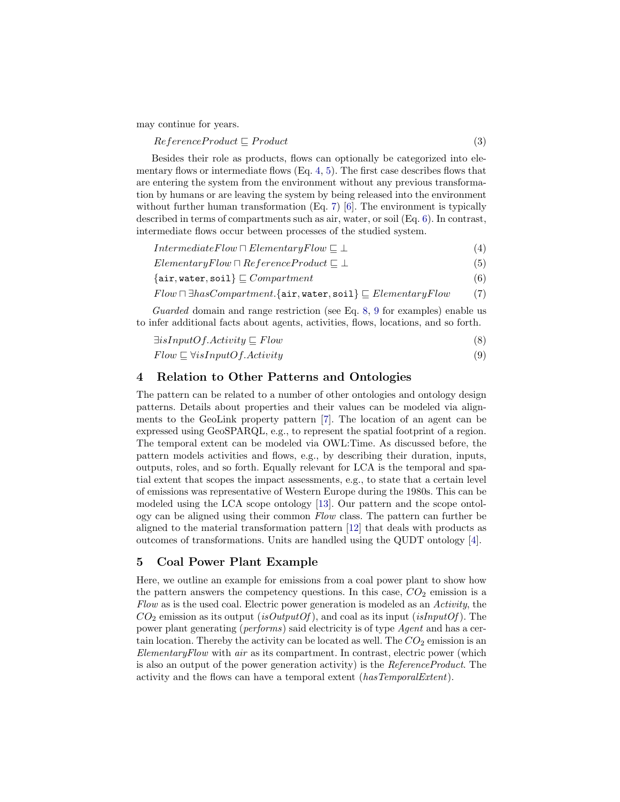may continue for years.

<span id="page-3-0"></span> $ReferenceProduct \subseteq Product$  (3)

Besides their role as products, flows can optionally be categorized into elementary flows or intermediate flows  $(Eq. 4, 5)$  $(Eq. 4, 5)$  $(Eq. 4, 5)$  $(Eq. 4, 5)$ . The first case describes flows that are entering the system from the environment without any previous transformation by humans or are leaving the system by being released into the environment without further human transformation (Eq. [7\)](#page-3-3) [\[6\]](#page-4-10). The environment is typically described in terms of compartments such as air, water, or soil (Eq. [6\)](#page-3-4). In contrast, intermediate flows occur between processes of the studied system.

 $IntermediateFlow \sqcap ElementaryFlow \sqsubset \bot$  (4)

<span id="page-3-2"></span><span id="page-3-1"></span> $ElementaryFlow \sqcap ReferenceProduct \sqsubseteq \bot$  (5)

<span id="page-3-4"></span>
$$
\{air, water, soil\} \sqsubseteq Computer
$$
\n
$$
\tag{6}
$$

<span id="page-3-3"></span>
$$
Flow \sqcap \exists hasComment. \{\mathtt{air}, \mathtt{water}, \mathtt{soil}\} \sqsubseteq ElementaryFlow \qquad (7)
$$

Guarded domain and range restriction (see Eq. [8,](#page-3-5) [9](#page-3-6) for examples) enable us to infer additional facts about agents, activities, flows, locations, and so forth.

<span id="page-3-6"></span><span id="page-3-5"></span>
$$
\exists is InputOf. Activity \sqsubseteq Flow
$$
 (8)

$$
Flow \sqsubseteq \forall isInputOf. Activity
$$
 (9)

## 4 Relation to Other Patterns and Ontologies

The pattern can be related to a number of other ontologies and ontology design patterns. Details about properties and their values can be modeled via alignments to the GeoLink property pattern [\[7\]](#page-4-11). The location of an agent can be expressed using GeoSPARQL, e.g., to represent the spatial footprint of a region. The temporal extent can be modeled via OWL:Time. As discussed before, the pattern models activities and flows, e.g., by describing their duration, inputs, outputs, roles, and so forth. Equally relevant for LCA is the temporal and spatial extent that scopes the impact assessments, e.g., to state that a certain level of emissions was representative of Western Europe during the 1980s. This can be modeled using the LCA scope ontology [\[13\]](#page-4-9). Our pattern and the scope ontology can be aligned using their common Flow class. The pattern can further be aligned to the material transformation pattern [\[12\]](#page-4-12) that deals with products as outcomes of transformations. Units are handled using the QUDT ontology [\[4\]](#page-4-13).

# 5 Coal Power Plant Example

Here, we outline an example for emissions from a coal power plant to show how the pattern answers the competency questions. In this case,  $CO<sub>2</sub>$  emission is a Flow as is the used coal. Electric power generation is modeled as an Activity, the  $CO<sub>2</sub>$  emission as its output (is OutputOf), and coal as its input (isInputOf). The power plant generating (performs) said electricity is of type Agent and has a certain location. Thereby the activity can be located as well. The  $CO<sub>2</sub>$  emission is an ElementaryFlow with air as its compartment. In contrast, electric power (which is also an output of the power generation activity) is the ReferenceProduct. The activity and the flows can have a temporal extent (hasTemporalExtent).